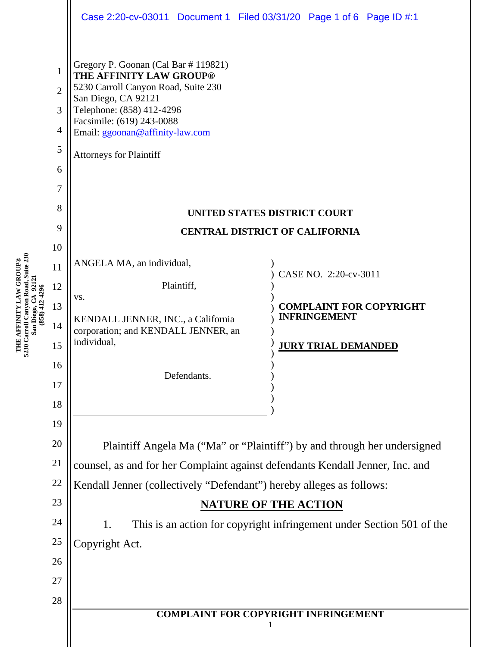|                                       |                                                                                                                     |                                                                                                                                                                                                                                                                                                                                                                                                                           | Case 2:20-cv-03011 Document 1 Filed 03/31/20 Page 1 of 6 Page ID #:1                                                                                                                  |
|---------------------------------------|---------------------------------------------------------------------------------------------------------------------|---------------------------------------------------------------------------------------------------------------------------------------------------------------------------------------------------------------------------------------------------------------------------------------------------------------------------------------------------------------------------------------------------------------------------|---------------------------------------------------------------------------------------------------------------------------------------------------------------------------------------|
| San Diego, CA 92121<br>(858) 412-4296 | 1<br>$\overline{2}$<br>3<br>$\overline{4}$<br>5<br>6<br>7<br>8<br>9<br>10<br>11<br>12<br>13<br>14<br>15<br>16<br>17 | Gregory P. Goonan (Cal Bar # 119821)<br>THE AFFINITY LAW GROUP®<br>5230 Carroll Canyon Road, Suite 230<br>San Diego, CA 92121<br>Telephone: (858) 412-4296<br>Facsimile: (619) 243-0088<br>Email: ggoonan@affinity-law.com<br><b>Attorneys for Plaintiff</b><br>ANGELA MA, an individual,<br>Plaintiff,<br>VS.<br>KENDALL JENNER, INC., a California<br>corporation; and KENDALL JENNER, an<br>individual,<br>Defendants. | UNITED STATES DISTRICT COURT<br><b>CENTRAL DISTRICT OF CALIFORNIA</b><br>CASE NO. 2:20-cv-3011<br><b>COMPLAINT FOR COPYRIGHT</b><br><b>INFRINGEMENT</b><br><b>JURY TRIAL DEMANDED</b> |
|                                       | 19<br>20<br>21<br>$22\,$<br>23<br>24<br>25<br>26<br>27<br>28                                                        | Plaintiff Angela Ma ("Ma" or "Plaintiff") by and through her undersigned<br>counsel, as and for her Complaint against defendants Kendall Jenner, Inc. and<br>Kendall Jenner (collectively "Defendant") hereby alleges as follows:<br><b>NATURE OF THE ACTION</b><br>This is an action for copyright infringement under Section 501 of the<br>1.<br>Copyright Act.<br><b>COMPLAINT FOR COPYRIGHT INFRINGEMENT</b>          |                                                                                                                                                                                       |

**THE AFFINITY LAW GROUP**

**5230 Carroll Canyon Road, Suite 230**

**®**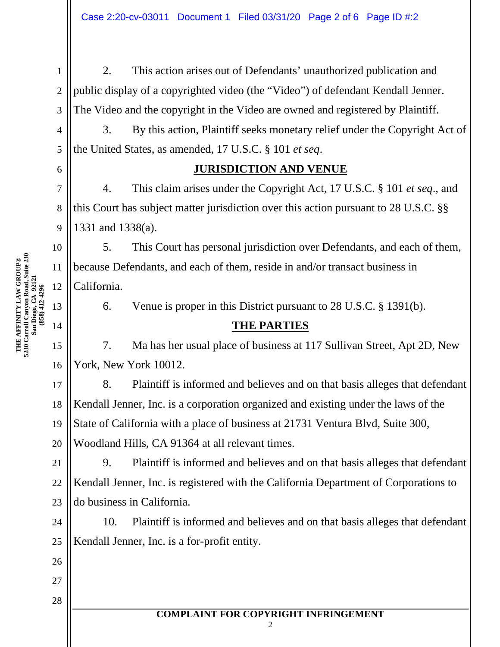2. This action arises out of Defendants' unauthorized publication and public display of a copyrighted video (the "Video") of defendant Kendall Jenner. The Video and the copyright in the Video are owned and registered by Plaintiff.

3. By this action, Plaintiff seeks monetary relief under the Copyright Act of the United States, as amended, 17 U.S.C. § 101 *et seq*.

#### **JURISDICTION AND VENUE**

4. This claim arises under the Copyright Act, 17 U.S.C. § 101 *et seq*., and this Court has subject matter jurisdiction over this action pursuant to 28 U.S.C. §§ 1331 and 1338(a).

5. This Court has personal jurisdiction over Defendants, and each of them, because Defendants, and each of them, reside in and/or transact business in California.

6. Venue is proper in this District pursuant to 28 U.S.C. § 1391(b).

## **THE PARTIES**

7. Ma has her usual place of business at 117 Sullivan Street, Apt 2D, New York, New York 10012.

18 8. Plaintiff is informed and believes and on that basis alleges that defendant Kendall Jenner, Inc. is a corporation organized and existing under the laws of the State of California with a place of business at 21731 Ventura Blvd, Suite 300, Woodland Hills, CA 91364 at all relevant times.

9. Plaintiff is informed and believes and on that basis alleges that defendant Kendall Jenner, Inc. is registered with the California Department of Corporations to do business in California.

10. Plaintiff is informed and believes and on that basis alleges that defendant Kendall Jenner, Inc. is a for-profit entity.

> **COMPLAINT FOR COPYRIGHT INFRINGEMENT** 2

**5230 Carroll Canyon Road, Suite 230 ®** 11 **THE AFFINITY LAW GROUP San Diego, CA 92121** 12 858) 412-4296 **(858) 412-4296** 13 14 15

1

2

3

4

5

6

7

8

9

10

16

17

19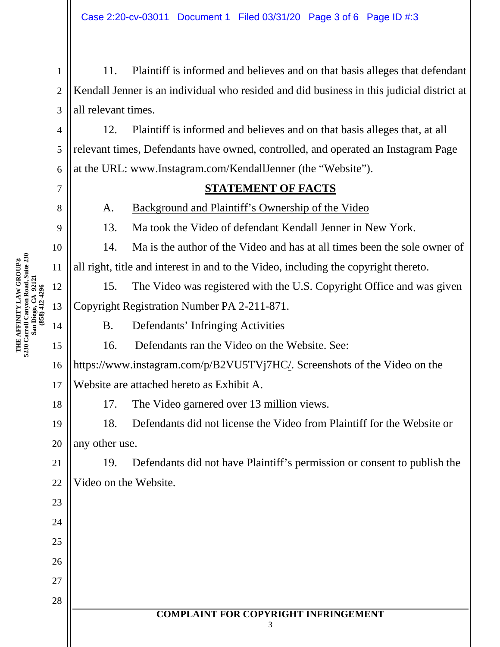11. Plaintiff is informed and believes and on that basis alleges that defendant Kendall Jenner is an individual who resided and did business in this judicial district at all relevant times.

6 12. Plaintiff is informed and believes and on that basis alleges that, at all relevant times, Defendants have owned, controlled, and operated an Instagram Page at the URL: www.Instagram.com/KendallJenner (the "Website").

#### **STATEMENT OF FACTS**

A. Background and Plaintiff's Ownership of the Video

13. Ma took the Video of defendant Kendall Jenner in New York.

14. Ma is the author of the Video and has at all times been the sole owner of all right, title and interest in and to the Video, including the copyright thereto.

15. The Video was registered with the U.S. Copyright Office and was given Copyright Registration Number PA 2-211-871.

B. Defendants' Infringing Activities

16. Defendants ran the Video on the Website. See:

16 17 https://www.instagram.com/p/B2VU5TVj7HC/. Screenshots of the Video on the Website are attached hereto as Exhibit A.

17. The Video garnered over 13 million views.

18. Defendants did not license the Video from Plaintiff for the Website or any other use.

22 19. Defendants did not have Plaintiff's permission or consent to publish the Video on the Website.

**5230 Carroll Canyon Road, Suite 230 ®** 11 **THE AFFINITY LAW GROUP San Diego, CA 92121** 12 858) 412-4296 **(858) 412-4296** 13 14 15

1

2

3

4

5

7

8

9

10

18

19

20

21

23

24

25

26

27

28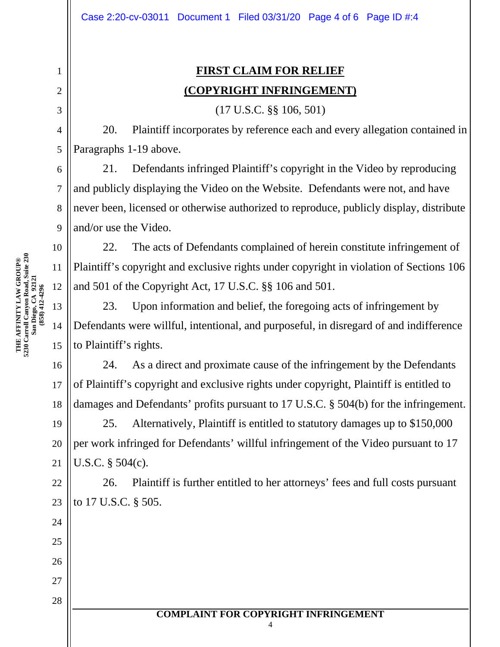# **FIRST CLAIM FOR RELIEF (COPYRIGHT INFRINGEMENT)**

(17 U.S.C. §§ 106, 501)

20. Plaintiff incorporates by reference each and every allegation contained in Paragraphs 1-19 above.

21. Defendants infringed Plaintiff's copyright in the Video by reproducing and publicly displaying the Video on the Website. Defendants were not, and have never been, licensed or otherwise authorized to reproduce, publicly display, distribute and/or use the Video.

22. The acts of Defendants complained of herein constitute infringement of Plaintiff's copyright and exclusive rights under copyright in violation of Sections 106 and 501 of the Copyright Act, 17 U.S.C. §§ 106 and 501.

23. Upon information and belief, the foregoing acts of infringement by Defendants were willful, intentional, and purposeful, in disregard of and indifference to Plaintiff's rights.

24. As a direct and proximate cause of the infringement by the Defendants of Plaintiff's copyright and exclusive rights under copyright, Plaintiff is entitled to damages and Defendants' profits pursuant to 17 U.S.C. § 504(b) for the infringement.

25. Alternatively, Plaintiff is entitled to statutory damages up to \$150,000 per work infringed for Defendants' willful infringement of the Video pursuant to 17 U.S.C. § 504(c).

26. Plaintiff is further entitled to her attorneys' fees and full costs pursuant to 17 U.S.C. § 505.

1

2

3

4

5

6

7

8

9

10

16

17

18

19

20

21

22

23

24

25

26

27

28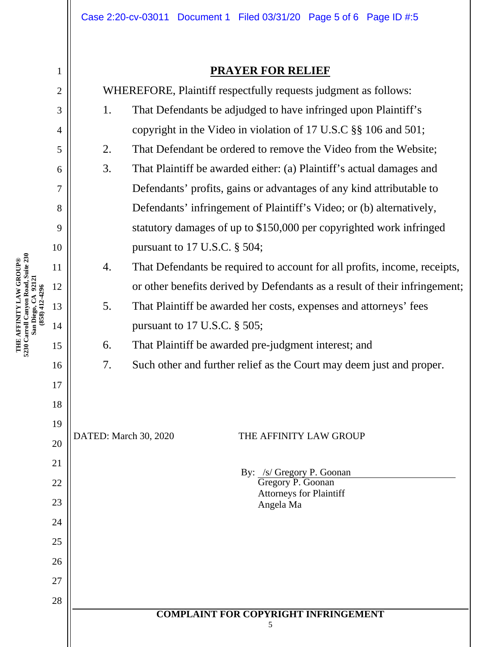### **PRAYER FOR RELIEF**

| 1              | <b>PRAYER FOR RELIEF</b>                                        |                                                                            |  |
|----------------|-----------------------------------------------------------------|----------------------------------------------------------------------------|--|
| $\overline{2}$ | WHEREFORE, Plaintiff respectfully requests judgment as follows: |                                                                            |  |
| 3              | 1.                                                              | That Defendants be adjudged to have infringed upon Plaintiff's             |  |
| $\overline{4}$ |                                                                 | copyright in the Video in violation of 17 U.S.C §§ 106 and 501;            |  |
| 5              | 2.                                                              | That Defendant be ordered to remove the Video from the Website;            |  |
| 6              | 3.                                                              | That Plaintiff be awarded either: (a) Plaintiff's actual damages and       |  |
| 7              |                                                                 | Defendants' profits, gains or advantages of any kind attributable to       |  |
| 8              |                                                                 | Defendants' infringement of Plaintiff's Video; or (b) alternatively,       |  |
| 9              |                                                                 | statutory damages of up to \$150,000 per copyrighted work infringed        |  |
| 10             |                                                                 | pursuant to 17 U.S.C. § 504;                                               |  |
| 11             | 4.                                                              | That Defendants be required to account for all profits, income, receipts,  |  |
| 12             |                                                                 | or other benefits derived by Defendants as a result of their infringement; |  |
| 13             | 5.                                                              | That Plaintiff be awarded her costs, expenses and attorneys' fees          |  |
| 14             |                                                                 | pursuant to $17$ U.S.C. $\S$ 505;                                          |  |
| 15             | 6.                                                              | That Plaintiff be awarded pre-judgment interest; and                       |  |
| 16             | 7.                                                              | Such other and further relief as the Court may deem just and proper.       |  |
| 17             |                                                                 |                                                                            |  |
| 18             |                                                                 |                                                                            |  |
| 19             | DATED: March 30, 2020<br>THE AFFINITY LAW GROUP                 |                                                                            |  |
| 20             |                                                                 |                                                                            |  |
| 21             |                                                                 | By: /s/ Gregory P. Goonan                                                  |  |
| 22             |                                                                 | Gregory P. Goonan<br><b>Attorneys for Plaintiff</b>                        |  |
| 23             |                                                                 | Angela Ma                                                                  |  |
| 24             |                                                                 |                                                                            |  |
| 25             |                                                                 |                                                                            |  |
| 26             |                                                                 |                                                                            |  |
| 27             |                                                                 |                                                                            |  |
| 28             |                                                                 | <b>COMPLAINT FOR COPYRIGHT INFRINGEMENT</b>                                |  |
|                |                                                                 | 5                                                                          |  |
|                |                                                                 |                                                                            |  |

**THE AFFINITY LAW GROUP**

**5230 Carroll Canyon Road, Suite 230 San Diego, CA 92121 (858) 412-4296**

**®**